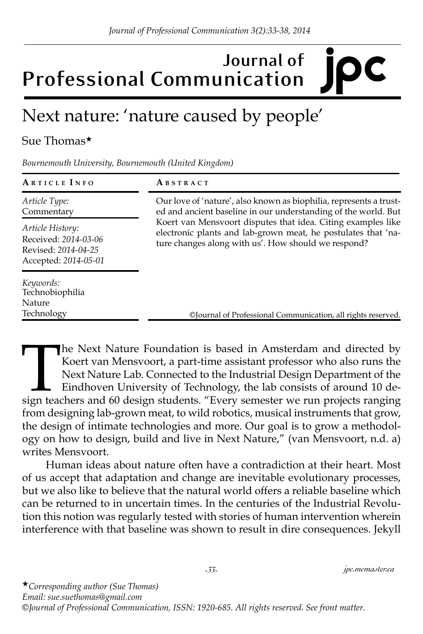## **Journal of Professional Communication**

## Next nature: 'nature caused by people'

## Sue Thomas★

*Bournemouth University, Bournemouth (United Kingdom)*

| ARTICLE INFO                                                                            | ABSTRACT                                                                                                                                                                                                                                                                                                                                                                                     |
|-----------------------------------------------------------------------------------------|----------------------------------------------------------------------------------------------------------------------------------------------------------------------------------------------------------------------------------------------------------------------------------------------------------------------------------------------------------------------------------------------|
| Article Type:<br>Commentary                                                             | Our love of 'nature', also known as biophilia, represents a trust-<br>ed and ancient baseline in our understanding of the world. But<br>Koert van Mensvoort disputes that idea. Citing examples like<br>electronic plants and lab-grown meat, he postulates that 'na-<br>ture changes along with us'. How should we respond?<br>©Journal of Professional Communication, all rights reserved. |
| Article History:<br>Received: 2014-03-06<br>Revised: 2014-04-25<br>Accepted: 2014-05-01 |                                                                                                                                                                                                                                                                                                                                                                                              |
| Keywords:<br>Technobiophilia<br><b>Nature</b><br>Technology                             |                                                                                                                                                                                                                                                                                                                                                                                              |

The Next Nature Foundation is based in Amsterdam and directed by<br>Koert van Mensvoort, a part-time assistant professor who also runs the<br>Next Nature Lab. Connected to the Industrial Design Department of the<br>Eindhoven Univer Koert van Mensvoort, a part-time assistant professor who also runs the Next Nature Lab. Connected to the Industrial Design Department of the Eindhoven University of Technology, the lab consists of around 10 design teachers and 60 design students. "Every semester we run projects ranging from designing lab-grown meat, to wild robotics, musical instruments that grow, the design of intimate technologies and more. Our goal is to grow a methodology on how to design, build and live in Next Nature," (van Mensvoort, n.d. a) writes Mensvoort.

Human ideas about nature often have a contradiction at their heart. Most of us accept that adaptation and change are inevitable evolutionary processes, but we also like to believe that the natural world offers a reliable baseline which can be returned to in uncertain times. In the centuries of the Industrial Revolution this notion was regularly tested with stories of human intervention wherein interference with that baseline was shown to result in dire consequences. Jekyll

*-33- jpc.mcmaster.ca*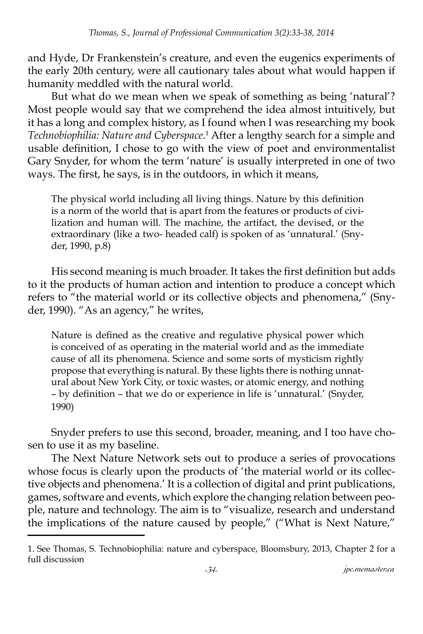and Hyde, Dr Frankenstein's creature, and even the eugenics experiments of the early 20th century, were all cautionary tales about what would happen if humanity meddled with the natural world.

But what do we mean when we speak of something as being 'natural'? Most people would say that we comprehend the idea almost intuitively, but it has a long and complex history, as I found when I was researching my book Technobiophilia: Nature and Cyberspace.<sup>1</sup> After a lengthy search for a simple and usable definition, I chose to go with the view of poet and environmentalist Gary Snyder, for whom the term 'nature' is usually interpreted in one of two ways. The first, he says, is in the outdoors, in which it means,

The physical world including all living things. Nature by this definition is a norm of the world that is apart from the features or products of civilization and human will. The machine, the artifact, the devised, or the extraordinary (like a two- headed calf) is spoken of as 'unnatural.' (Snyder, 1990, p.8)

His second meaning is much broader. It takes the first definition but adds to it the products of human action and intention to produce a concept which refers to "the material world or its collective objects and phenomena," (Snyder, 1990). "As an agency," he writes,

Nature is defined as the creative and regulative physical power which is conceived of as operating in the material world and as the immediate cause of all its phenomena. Science and some sorts of mysticism rightly propose that everything is natural. By these lights there is nothing unnatural about New York City, or toxic wastes, or atomic energy, and nothing – by definition – that we do or experience in life is 'unnatural.' (Snyder, 1990)

Snyder prefers to use this second, broader, meaning, and I too have chosen to use it as my baseline.

The Next Nature Network sets out to produce a series of provocations whose focus is clearly upon the products of 'the material world or its collective objects and phenomena.' It is a collection of digital and print publications, games, software and events, which explore the changing relation between people, nature and technology. The aim is to "visualize, research and understand the implications of the nature caused by people," ("What is Next Nature,"

<sup>1.</sup> See Thomas, S. Technobiophilia: nature and cyberspace, Bloomsbury, 2013, Chapter 2 for a full discussion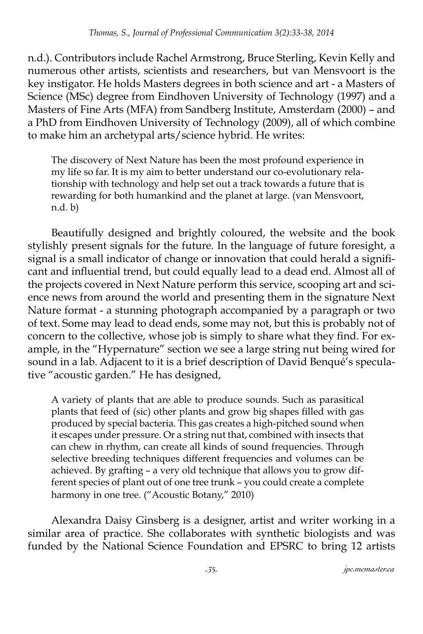n.d.). Contributors include Rachel Armstrong, Bruce Sterling, Kevin Kelly and numerous other artists, scientists and researchers, but van Mensvoort is the key instigator. He holds Masters degrees in both science and art - a Masters of Science (MSc) degree from Eindhoven University of Technology (1997) and a Masters of Fine Arts (MFA) from Sandberg Institute, Amsterdam (2000) – and a PhD from Eindhoven University of Technology (2009), all of which combine to make him an archetypal arts/science hybrid. He writes:

The discovery of Next Nature has been the most profound experience in my life so far. It is my aim to better understand our co-evolutionary relationship with technology and help set out a track towards a future that is rewarding for both humankind and the planet at large. (van Mensvoort, n.d. b)

Beautifully designed and brightly coloured, the website and the book stylishly present signals for the future. In the language of future foresight, a signal is a small indicator of change or innovation that could herald a significant and influential trend, but could equally lead to a dead end. Almost all of the projects covered in Next Nature perform this service, scooping art and science news from around the world and presenting them in the signature Next Nature format - a stunning photograph accompanied by a paragraph or two of text. Some may lead to dead ends, some may not, but this is probably not of concern to the collective, whose job is simply to share what they find. For example, in the "Hypernature" section we see a large string nut being wired for sound in a lab. Adjacent to it is a brief description of David Benqué's speculative "acoustic garden." He has designed,

A variety of plants that are able to produce sounds. Such as parasitical plants that feed of (sic) other plants and grow big shapes filled with gas produced by special bacteria. This gas creates a high-pitched sound when it escapes under pressure. Or a string nut that, combined with insects that can chew in rhythm, can create all kinds of sound frequencies. Through selective breeding techniques different frequencies and volumes can be achieved. By grafting – a very old technique that allows you to grow different species of plant out of one tree trunk – you could create a complete harmony in one tree. ("Acoustic Botany," 2010)

Alexandra Daisy Ginsberg is a designer, artist and writer working in a similar area of practice. She collaborates with synthetic biologists and was funded by the National Science Foundation and EPSRC to bring 12 artists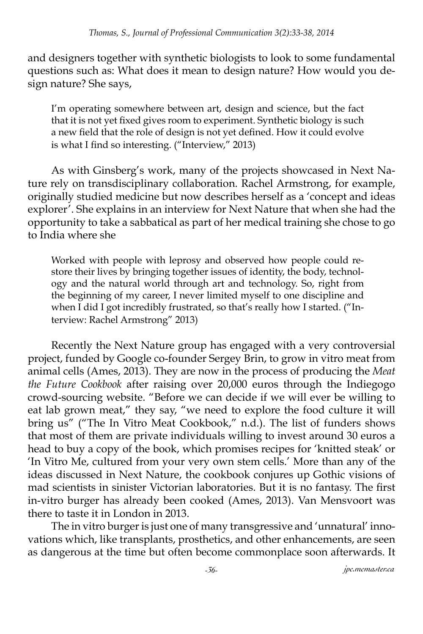and designers together with synthetic biologists to look to some fundamental questions such as: What does it mean to design nature? How would you design nature? She says,

I'm operating somewhere between art, design and science, but the fact that it is not yet fixed gives room to experiment. Synthetic biology is such a new field that the role of design is not yet defined. How it could evolve is what I find so interesting. ("Interview," 2013)

As with Ginsberg's work, many of the projects showcased in Next Nature rely on transdisciplinary collaboration. Rachel Armstrong, for example, originally studied medicine but now describes herself as a 'concept and ideas explorer'. She explains in an interview for Next Nature that when she had the opportunity to take a sabbatical as part of her medical training she chose to go to India where she

Worked with people with leprosy and observed how people could restore their lives by bringing together issues of identity, the body, technology and the natural world through art and technology. So, right from the beginning of my career, I never limited myself to one discipline and when I did I got incredibly frustrated, so that's really how I started. ("Interview: Rachel Armstrong" 2013)

Recently the Next Nature group has engaged with a very controversial project, funded by Google co-founder Sergey Brin, to grow in vitro meat from animal cells (Ames, 2013). They are now in the process of producing the *Meat the Future Cookbook* after raising over 20,000 euros through the Indiegogo crowd-sourcing website. "Before we can decide if we will ever be willing to eat lab grown meat," they say, "we need to explore the food culture it will bring us" ("The In Vitro Meat Cookbook," n.d.). The list of funders shows that most of them are private individuals willing to invest around 30 euros a head to buy a copy of the book, which promises recipes for 'knitted steak' or 'In Vitro Me, cultured from your very own stem cells.' More than any of the ideas discussed in Next Nature, the cookbook conjures up Gothic visions of mad scientists in sinister Victorian laboratories. But it is no fantasy. The first in-vitro burger has already been cooked (Ames, 2013). Van Mensvoort was there to taste it in London in 2013.

The in vitro burger is just one of many transgressive and 'unnatural' innovations which, like transplants, prosthetics, and other enhancements, are seen as dangerous at the time but often become commonplace soon afterwards. It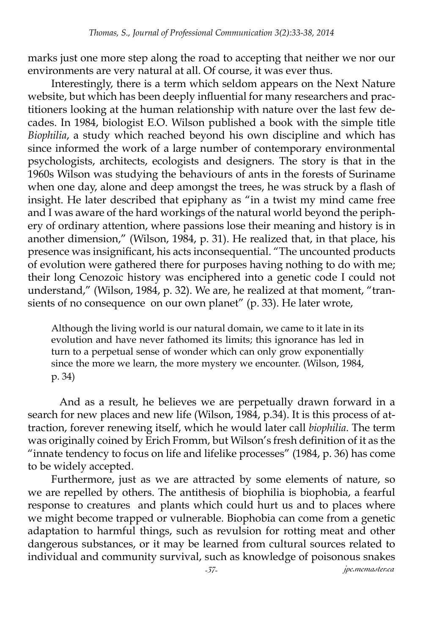marks just one more step along the road to accepting that neither we nor our environments are very natural at all. Of course, it was ever thus.

Interestingly, there is a term which seldom appears on the Next Nature website, but which has been deeply influential for many researchers and practitioners looking at the human relationship with nature over the last few decades. In 1984, biologist E.O. Wilson published a book with the simple title *Biophilia*, a study which reached beyond his own discipline and which has since informed the work of a large number of contemporary environmental psychologists, architects, ecologists and designers. The story is that in the 1960s Wilson was studying the behaviours of ants in the forests of Suriname when one day, alone and deep amongst the trees, he was struck by a flash of insight. He later described that epiphany as "in a twist my mind came free and I was aware of the hard workings of the natural world beyond the periphery of ordinary attention, where passions lose their meaning and history is in another dimension," (Wilson, 1984, p. 31). He realized that, in that place, his presence was insignificant, his acts inconsequential. "The uncounted products of evolution were gathered there for purposes having nothing to do with me; their long Cenozoic history was enciphered into a genetic code I could not understand," (Wilson, 1984, p. 32). We are, he realized at that moment, "transients of no consequence on our own planet" (p. 33). He later wrote,

Although the living world is our natural domain, we came to it late in its evolution and have never fathomed its limits; this ignorance has led in turn to a perpetual sense of wonder which can only grow exponentially since the more we learn, the more mystery we encounter. (Wilson, 1984, p. 34)

 And as a result, he believes we are perpetually drawn forward in a search for new places and new life (Wilson, 1984, p.34). It is this process of attraction, forever renewing itself, which he would later call *biophilia*. The term was originally coined by Erich Fromm, but Wilson's fresh definition of it as the "innate tendency to focus on life and lifelike processes" (1984, p. 36) has come to be widely accepted.

Furthermore, just as we are attracted by some elements of nature, so we are repelled by others. The antithesis of biophilia is biophobia, a fearful response to creatures and plants which could hurt us and to places where we might become trapped or vulnerable. Biophobia can come from a genetic adaptation to harmful things, such as revulsion for rotting meat and other dangerous substances, or it may be learned from cultural sources related to individual and community survival, such as knowledge of poisonous snakes

*-37- jpc.mcmaster.ca*